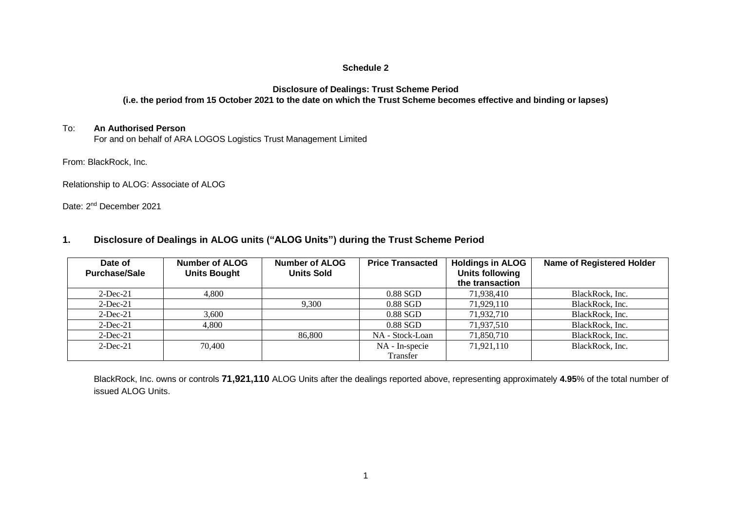## **Schedule 2**

#### **Disclosure of Dealings: Trust Scheme Period (i.e. the period from 15 October 2021 to the date on which the Trust Scheme becomes effective and binding or lapses)**

## To: **An Authorised Person**

For and on behalf of ARA LOGOS Logistics Trust Management Limited

From: BlackRock, Inc.

Relationship to ALOG: Associate of ALOG

Date: 2<sup>nd</sup> December 2021

# **1. Disclosure of Dealings in ALOG units ("ALOG Units") during the Trust Scheme Period**

| Date of<br><b>Purchase/Sale</b> | Number of ALOG<br><b>Units Bought</b> | Number of ALOG<br><b>Units Sold</b> | <b>Price Transacted</b> | Holdings in ALOG<br><b>Units following</b><br>the transaction | <b>Name of Registered Holder</b> |
|---------------------------------|---------------------------------------|-------------------------------------|-------------------------|---------------------------------------------------------------|----------------------------------|
| $2$ -Dec-21                     | 4,800                                 |                                     | $0.88$ SGD              | 71,938,410                                                    | BlackRock, Inc.                  |
| $2$ -Dec-21                     |                                       | 9,300                               | $0.88$ SGD              | 71,929,110                                                    | BlackRock, Inc.                  |
| $2$ -Dec-21                     | 3,600                                 |                                     | 0.88 SGD                | 71,932,710                                                    | BlackRock, Inc.                  |
| $2$ -Dec-21                     | 4,800                                 |                                     | $0.88$ SGD              | 71,937,510                                                    | BlackRock, Inc.                  |
| $2$ -Dec-21                     |                                       | 86,800                              | NA - Stock-Loan         | 71,850,710                                                    | BlackRock, Inc.                  |
| $2$ -Dec-21                     | 70,400                                |                                     | NA - In-specie          | 71,921,110                                                    | BlackRock, Inc.                  |
|                                 |                                       |                                     | Transfer                |                                                               |                                  |

BlackRock, Inc. owns or controls **71,921,110** ALOG Units after the dealings reported above, representing approximately **4.95**% of the total number of issued ALOG Units.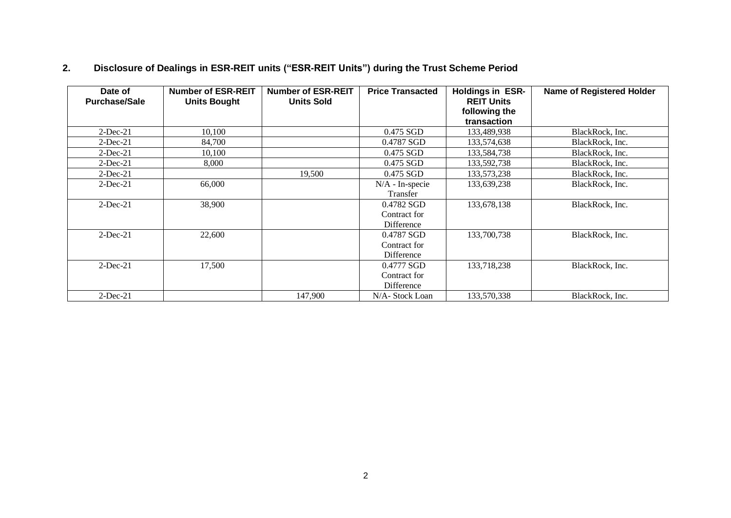# **2. Disclosure of Dealings in ESR-REIT units ("ESR-REIT Units") during the Trust Scheme Period**

| Date of<br><b>Purchase/Sale</b> | <b>Number of ESR-REIT</b><br><b>Units Bought</b> | <b>Number of ESR-REIT</b><br><b>Units Sold</b> | <b>Price Transacted</b> | <b>Holdings in ESR-</b><br><b>REIT Units</b> | <b>Name of Registered Holder</b> |
|---------------------------------|--------------------------------------------------|------------------------------------------------|-------------------------|----------------------------------------------|----------------------------------|
|                                 |                                                  |                                                |                         | following the<br>transaction                 |                                  |
| $2$ -Dec-21                     | 10,100                                           |                                                | 0.475 SGD               | 133,489,938                                  | BlackRock, Inc.                  |
| $2$ -Dec-21                     | 84,700                                           |                                                | 0.4787 SGD              | 133,574,638                                  | BlackRock, Inc.                  |
| $2$ -Dec-21                     | 10,100                                           |                                                | 0.475 SGD               | 133,584,738                                  | BlackRock, Inc.                  |
| $2$ -Dec-21                     | 8,000                                            |                                                | 0.475 SGD               | 133,592,738                                  | BlackRock, Inc.                  |
| $2$ -Dec-21                     |                                                  | 19,500                                         | $0.475$ SGD             | 133,573,238                                  | BlackRock, Inc.                  |
| $2$ -Dec-21                     | 66,000                                           |                                                | N/A - In-specie         | 133,639,238                                  | BlackRock, Inc.                  |
|                                 |                                                  |                                                | Transfer                |                                              |                                  |
| $2$ -Dec-21                     | 38,900                                           |                                                | 0.4782 SGD              | 133,678,138                                  | BlackRock, Inc.                  |
|                                 |                                                  |                                                | Contract for            |                                              |                                  |
|                                 |                                                  |                                                | Difference              |                                              |                                  |
| $2-Dec-21$                      | 22,600                                           |                                                | 0.4787 SGD              | 133,700,738                                  | BlackRock, Inc.                  |
|                                 |                                                  |                                                | Contract for            |                                              |                                  |
|                                 |                                                  |                                                | Difference              |                                              |                                  |
| $2$ -Dec-21                     | 17,500                                           |                                                | 0.4777 SGD              | 133,718,238                                  | BlackRock, Inc.                  |
|                                 |                                                  |                                                | Contract for            |                                              |                                  |
|                                 |                                                  |                                                | Difference              |                                              |                                  |
| $2-Dec-21$                      |                                                  | 147,900                                        | N/A- Stock Loan         | 133,570,338                                  | BlackRock, Inc.                  |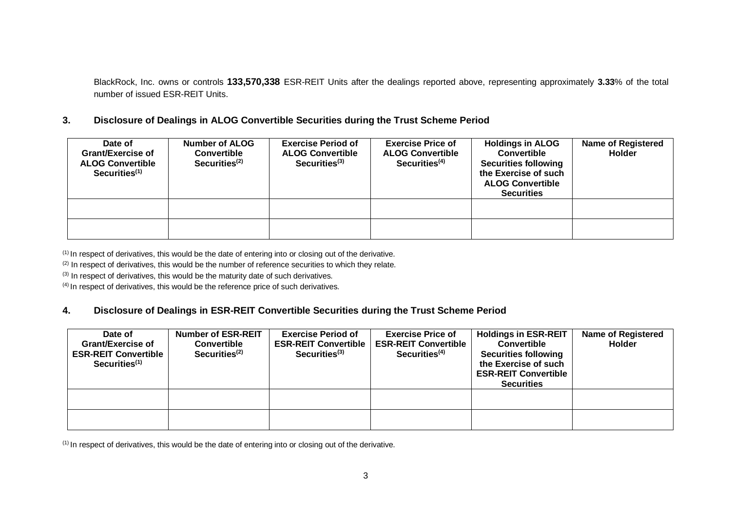BlackRock, Inc. owns or controls **133,570,338** ESR-REIT Units after the dealings reported above, representing approximately **3.33**% of the total number of issued ESR-REIT Units.

# **3. Disclosure of Dealings in ALOG Convertible Securities during the Trust Scheme Period**

| Date of<br><b>Grant/Exercise of</b><br><b>ALOG Convertible</b><br>Securities <sup>(1)</sup> | Number of ALOG<br><b>Convertible</b><br>Securities $(2)$ | <b>Exercise Period of</b><br><b>ALOG Convertible</b><br>Section 13 | <b>Exercise Price of</b><br><b>ALOG Convertible</b><br>Section <sup>(4)</sup> | <b>Holdings in ALOG</b><br><b>Convertible</b><br><b>Securities following</b><br>the Exercise of such<br><b>ALOG Convertible</b><br><b>Securities</b> | <b>Name of Registered</b><br><b>Holder</b> |
|---------------------------------------------------------------------------------------------|----------------------------------------------------------|--------------------------------------------------------------------|-------------------------------------------------------------------------------|------------------------------------------------------------------------------------------------------------------------------------------------------|--------------------------------------------|
|                                                                                             |                                                          |                                                                    |                                                                               |                                                                                                                                                      |                                            |
|                                                                                             |                                                          |                                                                    |                                                                               |                                                                                                                                                      |                                            |

(1) In respect of derivatives, this would be the date of entering into or closing out of the derivative.

 $(2)$  In respect of derivatives, this would be the number of reference securities to which they relate.

 $(3)$  In respect of derivatives, this would be the maturity date of such derivatives.

(4) In respect of derivatives, this would be the reference price of such derivatives.

# **4. Disclosure of Dealings in ESR-REIT Convertible Securities during the Trust Scheme Period**

| Date of<br><b>Grant/Exercise of</b><br><b>ESR-REIT Convertible</b><br>Securities <sup>(1)</sup> | <b>Number of ESR-REIT</b><br><b>Convertible</b><br>Securities $(2)$ | <b>Exercise Period of</b><br><b>ESR-REIT Convertible</b><br>Section <sup>(3)</sup> | <b>Exercise Price of</b><br><b>ESR-REIT Convertible</b><br>Securities <sup>(4)</sup> | <b>Holdings in ESR-REIT</b><br><b>Convertible</b><br><b>Securities following</b><br>the Exercise of such<br><b>ESR-REIT Convertible</b><br><b>Securities</b> | <b>Name of Registered</b><br><b>Holder</b> |
|-------------------------------------------------------------------------------------------------|---------------------------------------------------------------------|------------------------------------------------------------------------------------|--------------------------------------------------------------------------------------|--------------------------------------------------------------------------------------------------------------------------------------------------------------|--------------------------------------------|
|                                                                                                 |                                                                     |                                                                                    |                                                                                      |                                                                                                                                                              |                                            |
|                                                                                                 |                                                                     |                                                                                    |                                                                                      |                                                                                                                                                              |                                            |

 $(1)$  In respect of derivatives, this would be the date of entering into or closing out of the derivative.